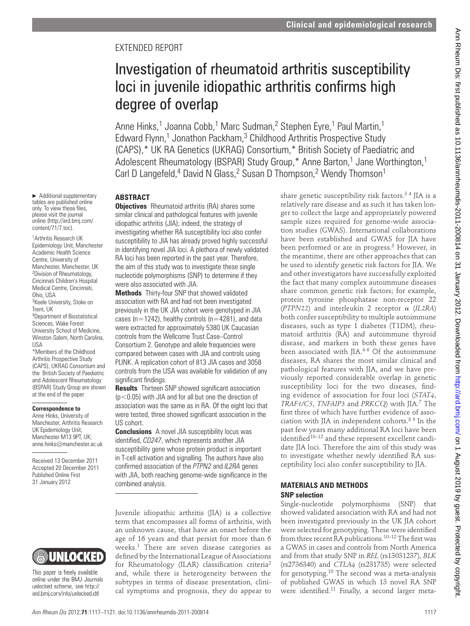## EXTENDED REPORT

# Investigation of rheumatoid arthritis susceptibility loci in juvenile idiopathic arthritis confirms high degree of overlap

Anne Hinks,<sup>1</sup> Joanna Cobb,<sup>1</sup> Marc Sudman,<sup>2</sup> Stephen Eyre,<sup>1</sup> Paul Martin,<sup>1</sup> Edward Flynn,<sup>1</sup> Jonathon Packham,<sup>3</sup> Childhood Arthritis Prospective Study (CAPS),\* UK RA Genetics (UKRAG) Consortium,\* British Society of Paediatric and Adolescent Rheumatology (BSPAR) Study Group,\* Anne Barton,<sup>1</sup> Jane Worthington,<sup>1</sup> Carl D Langefeld,<sup>4</sup> David N Glass,<sup>2</sup> Susan D Thompson,<sup>2</sup> Wendy Thomson<sup>1</sup>

### **ABSTRACT**

**Objectives** Rheumatoid arthritis (RA) shares some similar clinical and pathological features with juvenile idiopathic arthritis (JIA); indeed, the strategy of investigating whether RA susceptibility loci also confer susceptibility to JIA has already proved highly successful in identifying novel JIA loci. A plethora of newly validated RA loci has been reported in the past year. Therefore, the aim of this study was to investigate these single nucleotide polymorphisms (SNP) to determine if they were also associated with JIA.

**Methods** Thirty-four SNP that showed validated association with RA and had not been investigated previously in the UK JIA cohort were genotyped in JIA cases ( $n=1242$ ), healthy controls ( $n=4281$ ), and data were extracted for approximately 5380 UK Caucasian controls from the Wellcome Trust Case–Control Consortium 2. Genotype and allele frequencies were compared between cases with JIA and controls using PLINK. A replication cohort of 813 JIA cases and 3058 controls from the USA was available for validation of any significant findings.

**Results** Thirteen SNP showed significant association (p<0.05) with JIA and for all but one the direction of association was the same as in RA. Of the eight loci that were tested, three showed significant association in the US cohort.

**Conclusions** A novel JIA susceptibility locus was identified, *CD247*, which represents another JIA susceptibility gene whose protein product is important in T-cell activation and signalling. The authors have also confirmed association of the *PTPN2* and *IL2RA* genes with JIA, both reaching genome-wide significance in the combined analysis.

Juvenile idiopathic arthritis (JIA) is a collective term that encompasses all forms of arthritis, with an unknown cause, that have an onset before the age of 16 years and that persist for more than 6 weeks.1 There are seven disease categories as defined by the International League of Associations for Rheumatology (ILAR) classification criteria<sup>2</sup> and, while there is heterogeneity between the subtypes in terms of disease presentation, clinical symptoms and prognosis, they do appear to

share genetic susceptibility risk factors.3 4 JIA is a relatively rare disease and as such it has taken longer to collect the large and appropriately powered sample sizes required for genome-wide association studies (GWAS). International collaborations have been established and GWAS for JIA have been performed or are in progress.<sup>5</sup> However, in the meantime, there are other approaches that can be used to identify genetic risk factors for JIA. We and other investigators have successfully exploited the fact that many complex autoimmune diseases share common genetic risk factors; for example, protein tyrosine phosphatase non-receptor 22 (*PTPN22*) and interleukin 2 receptor α (*IL2RA*) both confer susceptibility to multiple autoimmune diseases, such as type 1 diabetes (T1DM), rheumatoid arthritis (RA) and autoimmune thyroid disease, and markers in both these genes have been associated with JIA.4 6 Of the autoimmune diseases, RA shares the most similar clinical and pathological features with JIA, and we have previously reported considerable overlap in genetic susceptibility loci for the two diseases, finding evidence of association for four loci (*STAT4*, *TRAF1/C5*, *TNFAIP3* and *PRKCQ*) with JIA.7 The first three of which have further evidence of association with JIA in independent cohorts.  $^{8\ 9}$  In the past few years many additional RA loci have been identified $10-12$  and these represent excellent candidate JIA loci. Therefore the aim of this study was to investigate whether newly identified RA susceptibility loci also confer susceptibility to JIA. **EXAMPLE AND CONTROL CONTROL CONTROL CONTROL CONTROL CONTROL CONTROL CONTROL CONTROL CONTROL CONTROL CONTROL CONTROL CONTROL CONTROL CONTROL CONTROL CONTROL CONTROL CONTROL CONTROL CONTROL CONTROL CONTROL CONTROL CONTROL** 

### **MATERIALS AND METHODS SNP selection**

Single-nucleotide polymorphisms (SNP) that showed validated association with RA and had not been investigated previously in the UK JIA cohort were selected for genotyping. These were identified from three recent RA publications.<sup>10–12</sup> The first was a GWAS in cases and controls from North America and from that study SNP in *REL* (rs13031237), *BLK* (rs2736340) and *CTLA4* (rs231735) were selected for genotyping.10 The second was a meta-analysis of published GWAS in which 13 novel RA SNP were identified.<sup>11</sup> Finally, a second larger meta-

Published Online First 31 January 2012

▶ Additional supplementary tables are published online only. To view these files, please visit the journal online (http://ard.bmj.com/ content/71/7.toc). 1 Arthritis Research UK Epidemiology Unit, Manchester Academic Health Science Centre, University of Manchester, Manchester, UK 2 Division of Rheumatology, Cincinnati Children's Hospital Medical Centre, Cincinnati,

Ohio, USA

Trent, UK

USA

3 Keele University, Stoke on

4 Department of Biostatistical Sciences, Wake Forest University School of Medicine, Winston-Salem, North Carolina,

\*Members of the Childhood Arthritis Prospective Study (CAPS), UKRAG Consortium and the British Society of Paediatric and Adolescent Rheumatology (BSPAR) Study Group are shown at the end of the paper **Correspondence to** Anne Hinks, University of Manchester, Arthritis Research UK Epidemiology Unit,

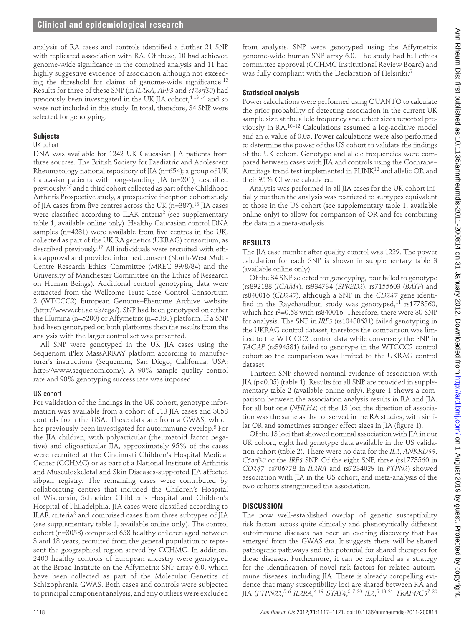analysis of RA cases and controls identified a further 21 SNP with replicated association with RA. Of these, 10 had achieved genome-wide significance in the combined analysis and 11 had highly suggestive evidence of association although not exceeding the threshold for claims of genome-wide significance.<sup>12</sup> Results for three of these SNP (in *IL2RA*, *AFF3* and *c12orf30*) had previously been investigated in the UK JIA cohort,4 13 14 and so were not included in this study. In total, therefore, 34 SNP were selected for genotyping.

#### **Subjects**

#### UK cohort

DNA was available for 1242 UK Caucasian JIA patients from three sources: The British Society for Paediatric and Adolescent Rheumatology national repository of JIA (n=654); a group of UK Caucasian patients with long-standing JIA (n=201), described previously,15 and a third cohort collected as part of the Childhood Arthritis Prospective study, a prospective inception cohort study of JIA cases from five centres across the UK (n=387).<sup>16</sup> JIA cases were classified according to ILAR criteria<sup>2</sup> (see supplementary table 1, available online only). Healthy Caucasian control DNA samples ( $n=4281$ ) were available from five centres in the UK, collected as part of the UK RA genetics (UKRAG) consortium, as described previously.17 All individuals were recruited with ethics approval and provided informed consent (North-West Multi-Centre Research Ethics Committee (MREC 99/8/84) and the University of Manchester Committee on the Ethics of Research on Human Beings). Additional control genotyping data were extracted from the Wellcome Trust Case–Control Consortium 2 (WTCCC2) European Genome–Phenome Archive website (http://www.ebi.ac.uk/ega/). SNP had been genotyped on either the Illumina (n=5200) or Affymetrix (n=5380) platform. If a SNP had been genotyped on both platforms then the results from the analysis with the larger control set was presented.

All SNP were genotyped in the UK JIA cases using the Sequenom iPlex MassARRAY platform according to manufacturer's instructions (Sequenom, San Diego, California, USA; http://www.sequenom.com/). A 90% sample quality control rate and 90% genotyping success rate was imposed.

#### US cohort

For validation of the findings in the UK cohort, genotype information was available from a cohort of 813 JIA cases and 3058 controls from the USA. These data are from a GWAS, which has previously been investigated for autoimmune overlap.<sup>5</sup> For the JIA children, with polyarticular (rheumatoid factor negative) and oligoarticular JIA, approximately 95% of the cases were recruited at the Cincinnati Children's Hospital Medical Center (CCHMC) or as part of a National Institute of Arthritis and Musculoskeletal and Skin Diseases-supported JIA affected sibpair registry. The remaining cases were contributed by collaborating centres that included the Children's Hospital of Wisconsin, Schneider Children's Hospital and Children's Hospital of Philadelphia. JIA cases were classified according to ILAR criteria2 and comprised cases from three subtypes of JIA (see supplementary table 1, available online only). The control cohort (n=3058) comprised 658 healthy children aged between 3 and 18 years, recruited from the general population to represent the geographical region served by CCHMC. In addition, 2400 healthy controls of European ancestry were genotyped at the Broad Institute on the Affymetrix SNP array 6.0, which have been collected as part of the Molecular Genetics of Schizophrenia GWAS. Both cases and controls were subjected to principal component analysis, and any outliers were excluded andels of Eq. and a state of the state interaction of the mainle and 2.3 February 1.8 February 1.8 February 1.8 February 1.8 February 1.8 February 1.8 February 1.8 February 1.8 February 1.8 February 1.8 February 1.8 Febru

from analysis. SNP were genotyped using the Affymetrix genome-wide human SNP array 6.0. The study had full ethics committee approval (CCHMC Institutional Review Board) and was fully compliant with the Declaration of Helsinki.<sup>5</sup>

#### **Statistical analysis**

Power calculations were performed using QUANTO to calculate the prior probability of detecting association in the current UK sample size at the allele frequency and effect sizes reported previously in RA.10–12 Calculations assumed a log-additive model and an  $\alpha$  value of 0.05. Power calculations were also performed to determine the power of the US cohort to validate the findings of the UK cohort. Genotype and allele frequencies were compared between cases with JIA and controls using the Cochrane– Armitage trend test implemented in PLINK18 and allelic OR and their 95% CI were calculated.

Analysis was performed in all JIA cases for the UK cohort initially but then the analysis was restricted to subtypes equivalent to those in the US cohort (see supplementary table 1, available online only) to allow for comparison of OR and for combining the data in a meta-analysis.

### **RESULTS**

The JIA case number after quality control was 1229. The power calculation for each SNP is shown in supplementary table 3 (available online only).

Of the 34 SNP selected for genotyping, four failed to genotype (rs892188 (*ICAM1*), rs934734 (*SPRED2*), rs7155603 (*BATF*) and rs840016 (*CD247*), although a SNP in the *CD247* gene identified in the Raychaudhuri study was genotyped, $11$  rs1773560, which has  $r^2=0.68$  with rs840016. Therefore, there were 30 SNP for analysis. The SNP in *IRF5* (rs10488631) failed genotyping in the UKRAG control dataset, therefore the comparison was limited to the WTCCC2 control data while conversely the SNP in *TAGAP* (rs394581) failed to genotype in the WTCCC2 control cohort so the comparison was limited to the UKRAG control dataset.

Thirteen SNP showed nominal evidence of association with JIA (p<0.05) (table 1). Results for all SNP are provided in supplementary table 2 (available online only). Figure 1 shows a comparison between the association analysis results in RA and JIA. For all but one (*NHLH2*) of the 13 loci the direction of association was the same as that observed in the RA studies, with similar OR and sometimes stronger effect sizes in JIA (figure 1).

Of the 13 loci that showed nominal association with JIA in our UK cohort, eight had genotype data available in the US validation cohort (table 2). There were no data for the *IL2*, *ANKRD55*, *C5orf30* or the *IRF5* SNP. Of the eight SNP, three (rs1773560 in *CD247*, rs706778 in *IL2RA* and rs7234029 in *PTPN2*) showed association with JIA in the US cohort, and meta-analysis of the two cohorts strengthened the association.

#### **DISCUSSION**

The now well-established overlap of genetic susceptibility risk factors across quite clinically and phenotypically different autoimmune diseases has been an exciting discovery that has emerged from the GWAS era. It suggests there will be shared pathogenic pathways and the potential for shared therapies for these diseases. Furthermore, it can be exploited as a strategy for the identification of novel risk factors for related autoimmune diseases, including JIA. There is already compelling evidence that many susceptibility loci are shared between RA and JIA (*PTPN22*, 5 6 *IL2RA*, 4 19 *STAT4*, 5 7 20 *IL2*, 5 13 21 *TRAF1/C5*7 20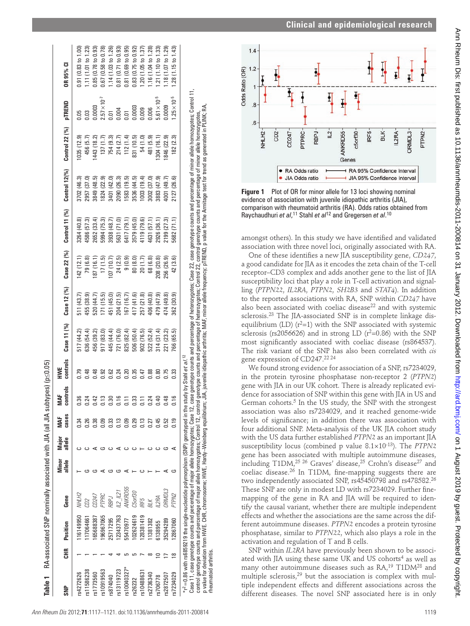| Case 12, case genotype counts and percentage of heterozygotes; Case 22, case genotype counts and percentage of minor allele homozygotes; Control 11,<br>$1.25 \times 10^{-5}$<br>$5.61 \times 10^{-5}$<br>$2.57 \times 10^{-7}$<br><b>pTREND</b><br>8.5<br>control genotype counts and percentage of major allele homozygotes; Control 12, control genotype counts and percentage of minor allele homozygotes,<br>p value for deviation from HWE. CHR, chromosome; HWE, Hardy–Weinberg gequi<br>0.0009<br>0.0003<br>0.0003<br>0.006<br>0.009<br>0.004<br>0.03<br>0.01<br>0.05<br>0.01<br>6.6<br>Control 22 (%)<br>PTPN <sub>2</sub><br>NHLH2<br>CD <sub>2</sub><br><b>PTPRC</b><br>ANKRD55<br>IRF5<br>BLK<br>ORMDL3<br>RBPJ<br>$\overline{12}$<br>$c5$ orf $30$<br>IL2RA<br>CD247<br>481 (5.9)<br>304 (16.1)<br>1846 (22.9)<br>754 (9.3)<br>112(1.4)<br>831 (10.5)<br>54 (1.0)<br>182 (2.3)<br>(035(12.9)<br>1443(18.2)<br>137(1.7)<br>214 (2.7)<br>456 (5.7)<br>Genes<br>RA 95% Confidence Interval<br>RA Odds ratio<br>Control 12(%)<br>· JIA Odds ratio<br>JIA 95% Confidence Interval<br>3702 (46.3)<br>3401 (42.0)<br>2090 (26.3)<br>1583 (19.5)<br>3002 (37.0)<br>(37.0)<br>3849 (48.5)<br>1824 (22.9)<br>3536 (44.5)<br>1003(19.4)<br>3883 (47.9)<br>4001 (49.7)<br>(26.6)<br><b>Figure 1</b> Plot of OR for minor allele for 13 loci showing nominal<br>2957<br>2127<br>evidence of association with juvenile idiopathic arthritis (JIA),<br>comparison with rheumatoid arthritis (RA). Odds ratios obtained from<br>Control 11 (%)<br>Raychaudhuri et al, <sup>11</sup> Stahl et al <sup>12</sup> and Gregersen et al. <sup>10</sup><br>2652 (33.4)<br>5994 (75.3)<br>3938 (48.7)<br>5631 (71.0)<br>6417 (79.1)<br>3579 (45.0)<br>4119 (79.6)<br>4631 (57.1)<br>2926 (36.1)<br>2199 (27.3)<br>3264 (40.8)<br>4586 (57.3)<br>5682 (71.1)<br>amongst others). In this study we have identified and validated<br>association with three novel loci, originally associated with RA.<br>Case 22 (%)<br>One of these identifies a new JIA susceptibility gene, CD247,<br>142 (12.1)<br>107(10.7)<br>$24(2.5)$<br>9(0.9)<br>$\frac{80(8.0)}{20(1.7)}$<br>68 (6.8)<br>208 (20.8)<br>256 (26.9)<br>42 (3.6)<br>79 (6.8)<br>187 (16.1)<br>17(1.5)<br>a good candidate for JIA as it encodes the zeta chain of the T-cell<br>receptor-CD3 complex and adds another gene to the list of JIA<br>susceptibility loci that play a role in T-cell activation and signal-<br>Case 12 (%)<br>ling (PTPN22, IL2RA, PTPN2, SH2B3 and STAT4). In addition<br>451 (45.0)<br>406 (40.8)<br>479 (47.9)<br>474 (49.8)<br>520 (44.7)<br>171(15.5)<br>204 (21.5)<br>167 (16.7)<br>417 (41.6)<br>257 (21.8)<br>362 (30.9)<br>511 (43.7)<br>455 (38.9)<br>to the reported associations with RA, SNP within CD247 have<br>also been associated with coeliac disease <sup>22</sup> and with systemic<br>sclerosis. <sup>23</sup> The JIA-associated SNP is in complete linkage dis-<br>equilibrium (LD) $(r^2=1)$ with the SNP associated with systemic<br>Case 11 (%)<br>445 (44.4)<br>517 (44.2)<br>456 (39.2)<br>917 (83.0)<br>721 (76.0)<br>825 (82.4)<br>506 (50.4)<br>522 (52.4)<br>314(31.4)<br>221 (23.2)<br>766 (65.5)<br>636 (54.4)<br>902(76.5)<br>sclerosis (rs2056626) and in strong LD ( $r^2$ =0.86) with the SNP<br>most significantly associated with coeliac disease (rs864537).<br>The risk variant of the SNP has also been correlated with cis<br>Stahl et al. <sup>12</sup><br>gene expression of CD247.2224<br>HWE<br>controls<br>We found strong evidence for association of a SNP, rs7234029,<br>0.48<br>0.24<br>0.20<br>0.35<br>$0.88\,$<br>0.80<br>0.75<br>0.79<br>0.48<br>0.92<br>0.62<br>0.33<br>0.47<br>in the protein tyrosine phosphatase non-receptor $2$ (PTPN2)<br>gene with JIA in our UK cohort. There is already replicated evi-<br>$*$ $\kappa^2$ = 0.86 with rs6859219 the single-nucleotide polymorphism (SNP) genotyped in the study by<br>MAF<br>controls<br>dence for association of SNP within this gene with JIA in US and<br>0.48<br>0.13<br>0.30<br>0.16<br>0.33<br>0.24<br>0.40<br>0.16<br>0.36<br>0.24<br>0.42<br>0.11<br>0.11<br>German cohorts. <sup>5</sup> In the US study, the SNP with the strongest<br>association was also rs7234029, and it reached genome-wide<br>MAF<br>cases<br>levels of significance; in addition there was association with<br>0.09<br>0.33<br>0.09<br>0.29<br>0.13<br>0.45<br>0.52<br>0.19<br>0.34<br>0.26<br>0.38<br>0.13<br>0.27<br>Case 11, case genotype counts and percentage of major allele homozygotes;<br>four additional SNP. Meta-analysis of the UK JIA cohort study<br>with the US data further established PTPN2 as an important JIA<br>Major<br>allele<br>susceptibility locus (combined p value $8.1 \times 10^{-13}$ ). The PTPN2<br>$0.0400400 +$<br>ပ ပ ပ<br>⋖<br>gene has been associated with multiple autoimmune diseases,<br>Minor<br>allele<br>including T1DM, <sup>25</sup> <sup>26</sup> Graves' disease, <sup>25</sup> Crohn's disease <sup>27</sup> and<br>G<br>coeliac disease. <sup>26</sup> In T1DM, fine-mapping suggests there are<br>G<br>⊲ అ<br>G<br>$\prec$ $\vdash$<br>⋖<br>two independently associated SNP, rs45450798 and rs478582.26<br>ANKRD55<br>These SNP are only in modest LD with rs7234029. Further fine-<br>ORMDL3<br>$C5$ orf $30$<br>$1/2$ $1/2$<br>NHLH2<br>PTPN2<br>CD247<br>PTPRC<br>Gene<br>IL2RA<br>mapping of the gene in RA and JIA will be required to iden-<br><b>RBPJ</b><br>CD <sub>2</sub><br>IRF5<br><b>BLK</b><br>tify the causal variant, whether there are multiple independent<br>effects and whether the associations are the same across the dif-<br>102624619<br>16149950<br>196967065<br>123437763<br>128381419<br>17064661<br>165688387<br>25717295<br>35294289<br>55470977<br>11381382<br>12867060<br>6138955<br>ferent autoimmune diseases. PTPN2 encodes a protein tyrosine<br>Position<br>phosphatase, similar to PTPN22, which also plays a role in the<br>activation and regulation of T and B cells.<br>SNP within IL2RA have previously been shown to be associ-<br>E<br>rheumatoid arthritis.<br>$\circ$<br>$\approx$<br>$\infty$<br>$\overline{1}$<br>ated with JIA using these same UK and US cohorts <sup>4</sup> as well as<br>many other autoimmune diseases such as RA, <sup>19</sup> T1DM <sup>28</sup> and<br>rs10919563<br>rs13119723<br>rs10040327<br>rs11586238<br>rs10488631<br>rs1773560<br>rs4272626<br>rs2736340<br>rs7234029<br>rs2872507<br>multiple sclerosis, <sup>29</sup> but the association is complex with mul-<br>rs874040<br>rs706778<br>rs26232<br>tiple independent effects and different associations across the<br>SNP<br>different diseases. The novel SNP associated here is in only | OR 95% CI | 1.14 (1.03 to 1.26)<br>0.81(0.69 to 0.95)<br>1.16 (1.04 to 1.28)<br>1.18 (1.07 to 1.29)<br>0.91(0.83 to 1.00)<br>0.85 (0.78 to 0.93)<br>0.67 (0.58 to 0.78)<br>0.81 (0.71 to 0.93)<br>0.83 (0.75 to 0.92)<br>1.21(1.10 to 1.33)<br>1.28 (1.15 to 1.43)<br>1.11 (1.01 to 1.23)<br>1.20(1.05 to 1.37)<br>1.4<br>Odds Ratio (OR)<br>$2 -$ |
|--------------------------------------------------------------------------------------------------------------------------------------------------------------------------------------------------------------------------------------------------------------------------------------------------------------------------------------------------------------------------------------------------------------------------------------------------------------------------------------------------------------------------------------------------------------------------------------------------------------------------------------------------------------------------------------------------------------------------------------------------------------------------------------------------------------------------------------------------------------------------------------------------------------------------------------------------------------------------------------------------------------------------------------------------------------------------------------------------------------------------------------------------------------------------------------------------------------------------------------------------------------------------------------------------------------------------------------------------------------------------------------------------------------------------------------------------------------------------------------------------------------------------------------------------------------------------------------------------------------------------------------------------------------------------------------------------------------------------------------------------------------------------------------------------------------------------------------------------------------------------------------------------------------------------------------------------------------------------------------------------------------------------------------------------------------------------------------------------------------------------------------------------------------------------------------------------------------------------------------------------------------------------------------------------------------------------------------------------------------------------------------------------------------------------------------------------------------------------------------------------------------------------------------------------------------------------------------------------------------------------------------------------------------------------------------------------------------------------------------------------------------------------------------------------------------------------------------------------------------------------------------------------------------------------------------------------------------------------------------------------------------------------------------------------------------------------------------------------------------------------------------------------------------------------------------------------------------------------------------------------------------------------------------------------------------------------------------------------------------------------------------------------------------------------------------------------------------------------------------------------------------------------------------------------------------------------------------------------------------------------------------------------------------------------------------------------------------------------------------------------------------------------------------------------------------------------------------------------------------------------------------------------------------------------------------------------------------------------------------------------------------------------------------------------------------------------------------------------------------------------------------------------------------------------------------------------------------------------------------------------------------------------------------------------------------------------------------------------------------------------------------------------------------------------------------------------------------------------------------------------------------------------------------------------------------------------------------------------------------------------------------------------------------------------------------------------------------------------------------------------------------------------------------------------------------------------------------------------------------------------------------------------------------------------------------------------------------------------------------------------------------------------------------------------------------------------------------------------------------------------------------------------------------------------------------------------------------------------------------------------------------------------------------------------------------------------------------------------------------------------------------------------------------------------------------------------------------------------------------------------------------------------------------------------------------------------------------------------------------------------------------------------------------------------------------------------------------------------------------------------------------------------------------------------------------------------------------------------------------------------------------------------------------------------------------------------------------------------------------------------------------------------------------------------------------------------------------------------------------------------------------------------------------------------------------------------------------------------------------------------------------------------------------------------------------------------------------------------------------------------------------------------------------------------------------------------------------------------------------------------------------------------------------------------------------------------------------------------------------------------------------------------------------------------------------------------------------------------------------------------------------------|-----------|----------------------------------------------------------------------------------------------------------------------------------------------------------------------------------------------------------------------------------------------------------------------------------------------------------------------------------------|
|                                                                                                                                                                                                                                                                                                                                                                                                                                                                                                                                                                                                                                                                                                                                                                                                                                                                                                                                                                                                                                                                                                                                                                                                                                                                                                                                                                                                                                                                                                                                                                                                                                                                                                                                                                                                                                                                                                                                                                                                                                                                                                                                                                                                                                                                                                                                                                                                                                                                                                                                                                                                                                                                                                                                                                                                                                                                                                                                                                                                                                                                                                                                                                                                                                                                                                                                                                                                                                                                                                                                                                                                                                                                                                                                                                                                                                                                                                                                                                                                                                                                                                                                                                                                                                                                                                                                                                                                                                                                                                                                                                                                                                                                                                                                                                                                                                                                                                                                                                                                                                                                                                                                                                                                                                                                                                                                                                                                                                                                                                                                                                                                                                                                                                                                                                                                                                                                                                                                                                                                                                                                                                                                                                                                                                                                                                                                                                                                                                                                                                                                                                                                                                                                                                                                                                    |           |                                                                                                                                                                                                                                                                                                                                        |
|                                                                                                                                                                                                                                                                                                                                                                                                                                                                                                                                                                                                                                                                                                                                                                                                                                                                                                                                                                                                                                                                                                                                                                                                                                                                                                                                                                                                                                                                                                                                                                                                                                                                                                                                                                                                                                                                                                                                                                                                                                                                                                                                                                                                                                                                                                                                                                                                                                                                                                                                                                                                                                                                                                                                                                                                                                                                                                                                                                                                                                                                                                                                                                                                                                                                                                                                                                                                                                                                                                                                                                                                                                                                                                                                                                                                                                                                                                                                                                                                                                                                                                                                                                                                                                                                                                                                                                                                                                                                                                                                                                                                                                                                                                                                                                                                                                                                                                                                                                                                                                                                                                                                                                                                                                                                                                                                                                                                                                                                                                                                                                                                                                                                                                                                                                                                                                                                                                                                                                                                                                                                                                                                                                                                                                                                                                                                                                                                                                                                                                                                                                                                                                                                                                                                                                    |           |                                                                                                                                                                                                                                                                                                                                        |
|                                                                                                                                                                                                                                                                                                                                                                                                                                                                                                                                                                                                                                                                                                                                                                                                                                                                                                                                                                                                                                                                                                                                                                                                                                                                                                                                                                                                                                                                                                                                                                                                                                                                                                                                                                                                                                                                                                                                                                                                                                                                                                                                                                                                                                                                                                                                                                                                                                                                                                                                                                                                                                                                                                                                                                                                                                                                                                                                                                                                                                                                                                                                                                                                                                                                                                                                                                                                                                                                                                                                                                                                                                                                                                                                                                                                                                                                                                                                                                                                                                                                                                                                                                                                                                                                                                                                                                                                                                                                                                                                                                                                                                                                                                                                                                                                                                                                                                                                                                                                                                                                                                                                                                                                                                                                                                                                                                                                                                                                                                                                                                                                                                                                                                                                                                                                                                                                                                                                                                                                                                                                                                                                                                                                                                                                                                                                                                                                                                                                                                                                                                                                                                                                                                                                                                    |           |                                                                                                                                                                                                                                                                                                                                        |
|                                                                                                                                                                                                                                                                                                                                                                                                                                                                                                                                                                                                                                                                                                                                                                                                                                                                                                                                                                                                                                                                                                                                                                                                                                                                                                                                                                                                                                                                                                                                                                                                                                                                                                                                                                                                                                                                                                                                                                                                                                                                                                                                                                                                                                                                                                                                                                                                                                                                                                                                                                                                                                                                                                                                                                                                                                                                                                                                                                                                                                                                                                                                                                                                                                                                                                                                                                                                                                                                                                                                                                                                                                                                                                                                                                                                                                                                                                                                                                                                                                                                                                                                                                                                                                                                                                                                                                                                                                                                                                                                                                                                                                                                                                                                                                                                                                                                                                                                                                                                                                                                                                                                                                                                                                                                                                                                                                                                                                                                                                                                                                                                                                                                                                                                                                                                                                                                                                                                                                                                                                                                                                                                                                                                                                                                                                                                                                                                                                                                                                                                                                                                                                                                                                                                                                    |           |                                                                                                                                                                                                                                                                                                                                        |
|                                                                                                                                                                                                                                                                                                                                                                                                                                                                                                                                                                                                                                                                                                                                                                                                                                                                                                                                                                                                                                                                                                                                                                                                                                                                                                                                                                                                                                                                                                                                                                                                                                                                                                                                                                                                                                                                                                                                                                                                                                                                                                                                                                                                                                                                                                                                                                                                                                                                                                                                                                                                                                                                                                                                                                                                                                                                                                                                                                                                                                                                                                                                                                                                                                                                                                                                                                                                                                                                                                                                                                                                                                                                                                                                                                                                                                                                                                                                                                                                                                                                                                                                                                                                                                                                                                                                                                                                                                                                                                                                                                                                                                                                                                                                                                                                                                                                                                                                                                                                                                                                                                                                                                                                                                                                                                                                                                                                                                                                                                                                                                                                                                                                                                                                                                                                                                                                                                                                                                                                                                                                                                                                                                                                                                                                                                                                                                                                                                                                                                                                                                                                                                                                                                                                                                    |           |                                                                                                                                                                                                                                                                                                                                        |
|                                                                                                                                                                                                                                                                                                                                                                                                                                                                                                                                                                                                                                                                                                                                                                                                                                                                                                                                                                                                                                                                                                                                                                                                                                                                                                                                                                                                                                                                                                                                                                                                                                                                                                                                                                                                                                                                                                                                                                                                                                                                                                                                                                                                                                                                                                                                                                                                                                                                                                                                                                                                                                                                                                                                                                                                                                                                                                                                                                                                                                                                                                                                                                                                                                                                                                                                                                                                                                                                                                                                                                                                                                                                                                                                                                                                                                                                                                                                                                                                                                                                                                                                                                                                                                                                                                                                                                                                                                                                                                                                                                                                                                                                                                                                                                                                                                                                                                                                                                                                                                                                                                                                                                                                                                                                                                                                                                                                                                                                                                                                                                                                                                                                                                                                                                                                                                                                                                                                                                                                                                                                                                                                                                                                                                                                                                                                                                                                                                                                                                                                                                                                                                                                                                                                                                    |           |                                                                                                                                                                                                                                                                                                                                        |
|                                                                                                                                                                                                                                                                                                                                                                                                                                                                                                                                                                                                                                                                                                                                                                                                                                                                                                                                                                                                                                                                                                                                                                                                                                                                                                                                                                                                                                                                                                                                                                                                                                                                                                                                                                                                                                                                                                                                                                                                                                                                                                                                                                                                                                                                                                                                                                                                                                                                                                                                                                                                                                                                                                                                                                                                                                                                                                                                                                                                                                                                                                                                                                                                                                                                                                                                                                                                                                                                                                                                                                                                                                                                                                                                                                                                                                                                                                                                                                                                                                                                                                                                                                                                                                                                                                                                                                                                                                                                                                                                                                                                                                                                                                                                                                                                                                                                                                                                                                                                                                                                                                                                                                                                                                                                                                                                                                                                                                                                                                                                                                                                                                                                                                                                                                                                                                                                                                                                                                                                                                                                                                                                                                                                                                                                                                                                                                                                                                                                                                                                                                                                                                                                                                                                                                    |           |                                                                                                                                                                                                                                                                                                                                        |
|                                                                                                                                                                                                                                                                                                                                                                                                                                                                                                                                                                                                                                                                                                                                                                                                                                                                                                                                                                                                                                                                                                                                                                                                                                                                                                                                                                                                                                                                                                                                                                                                                                                                                                                                                                                                                                                                                                                                                                                                                                                                                                                                                                                                                                                                                                                                                                                                                                                                                                                                                                                                                                                                                                                                                                                                                                                                                                                                                                                                                                                                                                                                                                                                                                                                                                                                                                                                                                                                                                                                                                                                                                                                                                                                                                                                                                                                                                                                                                                                                                                                                                                                                                                                                                                                                                                                                                                                                                                                                                                                                                                                                                                                                                                                                                                                                                                                                                                                                                                                                                                                                                                                                                                                                                                                                                                                                                                                                                                                                                                                                                                                                                                                                                                                                                                                                                                                                                                                                                                                                                                                                                                                                                                                                                                                                                                                                                                                                                                                                                                                                                                                                                                                                                                                                                    |           |                                                                                                                                                                                                                                                                                                                                        |
|                                                                                                                                                                                                                                                                                                                                                                                                                                                                                                                                                                                                                                                                                                                                                                                                                                                                                                                                                                                                                                                                                                                                                                                                                                                                                                                                                                                                                                                                                                                                                                                                                                                                                                                                                                                                                                                                                                                                                                                                                                                                                                                                                                                                                                                                                                                                                                                                                                                                                                                                                                                                                                                                                                                                                                                                                                                                                                                                                                                                                                                                                                                                                                                                                                                                                                                                                                                                                                                                                                                                                                                                                                                                                                                                                                                                                                                                                                                                                                                                                                                                                                                                                                                                                                                                                                                                                                                                                                                                                                                                                                                                                                                                                                                                                                                                                                                                                                                                                                                                                                                                                                                                                                                                                                                                                                                                                                                                                                                                                                                                                                                                                                                                                                                                                                                                                                                                                                                                                                                                                                                                                                                                                                                                                                                                                                                                                                                                                                                                                                                                                                                                                                                                                                                                                                    |           |                                                                                                                                                                                                                                                                                                                                        |
|                                                                                                                                                                                                                                                                                                                                                                                                                                                                                                                                                                                                                                                                                                                                                                                                                                                                                                                                                                                                                                                                                                                                                                                                                                                                                                                                                                                                                                                                                                                                                                                                                                                                                                                                                                                                                                                                                                                                                                                                                                                                                                                                                                                                                                                                                                                                                                                                                                                                                                                                                                                                                                                                                                                                                                                                                                                                                                                                                                                                                                                                                                                                                                                                                                                                                                                                                                                                                                                                                                                                                                                                                                                                                                                                                                                                                                                                                                                                                                                                                                                                                                                                                                                                                                                                                                                                                                                                                                                                                                                                                                                                                                                                                                                                                                                                                                                                                                                                                                                                                                                                                                                                                                                                                                                                                                                                                                                                                                                                                                                                                                                                                                                                                                                                                                                                                                                                                                                                                                                                                                                                                                                                                                                                                                                                                                                                                                                                                                                                                                                                                                                                                                                                                                                                                                    |           |                                                                                                                                                                                                                                                                                                                                        |
|                                                                                                                                                                                                                                                                                                                                                                                                                                                                                                                                                                                                                                                                                                                                                                                                                                                                                                                                                                                                                                                                                                                                                                                                                                                                                                                                                                                                                                                                                                                                                                                                                                                                                                                                                                                                                                                                                                                                                                                                                                                                                                                                                                                                                                                                                                                                                                                                                                                                                                                                                                                                                                                                                                                                                                                                                                                                                                                                                                                                                                                                                                                                                                                                                                                                                                                                                                                                                                                                                                                                                                                                                                                                                                                                                                                                                                                                                                                                                                                                                                                                                                                                                                                                                                                                                                                                                                                                                                                                                                                                                                                                                                                                                                                                                                                                                                                                                                                                                                                                                                                                                                                                                                                                                                                                                                                                                                                                                                                                                                                                                                                                                                                                                                                                                                                                                                                                                                                                                                                                                                                                                                                                                                                                                                                                                                                                                                                                                                                                                                                                                                                                                                                                                                                                                                    |           |                                                                                                                                                                                                                                                                                                                                        |
|                                                                                                                                                                                                                                                                                                                                                                                                                                                                                                                                                                                                                                                                                                                                                                                                                                                                                                                                                                                                                                                                                                                                                                                                                                                                                                                                                                                                                                                                                                                                                                                                                                                                                                                                                                                                                                                                                                                                                                                                                                                                                                                                                                                                                                                                                                                                                                                                                                                                                                                                                                                                                                                                                                                                                                                                                                                                                                                                                                                                                                                                                                                                                                                                                                                                                                                                                                                                                                                                                                                                                                                                                                                                                                                                                                                                                                                                                                                                                                                                                                                                                                                                                                                                                                                                                                                                                                                                                                                                                                                                                                                                                                                                                                                                                                                                                                                                                                                                                                                                                                                                                                                                                                                                                                                                                                                                                                                                                                                                                                                                                                                                                                                                                                                                                                                                                                                                                                                                                                                                                                                                                                                                                                                                                                                                                                                                                                                                                                                                                                                                                                                                                                                                                                                                                                    |           |                                                                                                                                                                                                                                                                                                                                        |
|                                                                                                                                                                                                                                                                                                                                                                                                                                                                                                                                                                                                                                                                                                                                                                                                                                                                                                                                                                                                                                                                                                                                                                                                                                                                                                                                                                                                                                                                                                                                                                                                                                                                                                                                                                                                                                                                                                                                                                                                                                                                                                                                                                                                                                                                                                                                                                                                                                                                                                                                                                                                                                                                                                                                                                                                                                                                                                                                                                                                                                                                                                                                                                                                                                                                                                                                                                                                                                                                                                                                                                                                                                                                                                                                                                                                                                                                                                                                                                                                                                                                                                                                                                                                                                                                                                                                                                                                                                                                                                                                                                                                                                                                                                                                                                                                                                                                                                                                                                                                                                                                                                                                                                                                                                                                                                                                                                                                                                                                                                                                                                                                                                                                                                                                                                                                                                                                                                                                                                                                                                                                                                                                                                                                                                                                                                                                                                                                                                                                                                                                                                                                                                                                                                                                                                    |           |                                                                                                                                                                                                                                                                                                                                        |
|                                                                                                                                                                                                                                                                                                                                                                                                                                                                                                                                                                                                                                                                                                                                                                                                                                                                                                                                                                                                                                                                                                                                                                                                                                                                                                                                                                                                                                                                                                                                                                                                                                                                                                                                                                                                                                                                                                                                                                                                                                                                                                                                                                                                                                                                                                                                                                                                                                                                                                                                                                                                                                                                                                                                                                                                                                                                                                                                                                                                                                                                                                                                                                                                                                                                                                                                                                                                                                                                                                                                                                                                                                                                                                                                                                                                                                                                                                                                                                                                                                                                                                                                                                                                                                                                                                                                                                                                                                                                                                                                                                                                                                                                                                                                                                                                                                                                                                                                                                                                                                                                                                                                                                                                                                                                                                                                                                                                                                                                                                                                                                                                                                                                                                                                                                                                                                                                                                                                                                                                                                                                                                                                                                                                                                                                                                                                                                                                                                                                                                                                                                                                                                                                                                                                                                    |           |                                                                                                                                                                                                                                                                                                                                        |
|                                                                                                                                                                                                                                                                                                                                                                                                                                                                                                                                                                                                                                                                                                                                                                                                                                                                                                                                                                                                                                                                                                                                                                                                                                                                                                                                                                                                                                                                                                                                                                                                                                                                                                                                                                                                                                                                                                                                                                                                                                                                                                                                                                                                                                                                                                                                                                                                                                                                                                                                                                                                                                                                                                                                                                                                                                                                                                                                                                                                                                                                                                                                                                                                                                                                                                                                                                                                                                                                                                                                                                                                                                                                                                                                                                                                                                                                                                                                                                                                                                                                                                                                                                                                                                                                                                                                                                                                                                                                                                                                                                                                                                                                                                                                                                                                                                                                                                                                                                                                                                                                                                                                                                                                                                                                                                                                                                                                                                                                                                                                                                                                                                                                                                                                                                                                                                                                                                                                                                                                                                                                                                                                                                                                                                                                                                                                                                                                                                                                                                                                                                                                                                                                                                                                                                    |           |                                                                                                                                                                                                                                                                                                                                        |
|                                                                                                                                                                                                                                                                                                                                                                                                                                                                                                                                                                                                                                                                                                                                                                                                                                                                                                                                                                                                                                                                                                                                                                                                                                                                                                                                                                                                                                                                                                                                                                                                                                                                                                                                                                                                                                                                                                                                                                                                                                                                                                                                                                                                                                                                                                                                                                                                                                                                                                                                                                                                                                                                                                                                                                                                                                                                                                                                                                                                                                                                                                                                                                                                                                                                                                                                                                                                                                                                                                                                                                                                                                                                                                                                                                                                                                                                                                                                                                                                                                                                                                                                                                                                                                                                                                                                                                                                                                                                                                                                                                                                                                                                                                                                                                                                                                                                                                                                                                                                                                                                                                                                                                                                                                                                                                                                                                                                                                                                                                                                                                                                                                                                                                                                                                                                                                                                                                                                                                                                                                                                                                                                                                                                                                                                                                                                                                                                                                                                                                                                                                                                                                                                                                                                                                    |           |                                                                                                                                                                                                                                                                                                                                        |



**Figure 1** Plot of OR for minor allele for 13 loci showing nominal evidence of association with juvenile idiopathic arthritis (JIA), comparison with rheumatoid arthritis (RA). Odds ratios obtained from Raychaudhuri *et al*,<sup>11</sup> Stahl *et al*<sup>12</sup> and Gregersen *et al*.<sup>10</sup>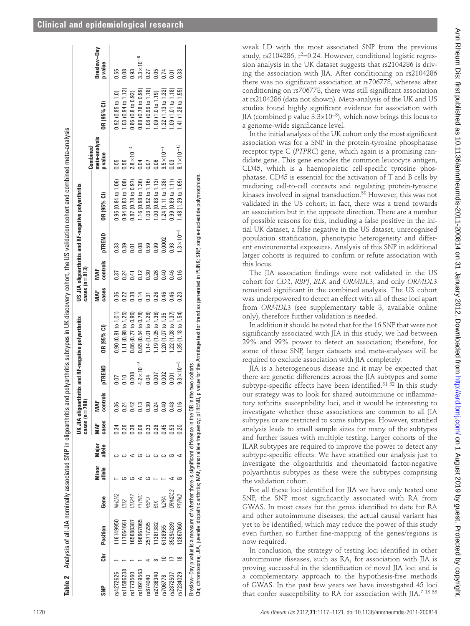## **Clinical and epidemiological research**

|                                                                                                                                                                       | Breslow-Day                          |                                           |                                                     |                                                                                                     |                                           |                                            | weak LD with the most associated SNP from the previous<br>study, rs2104286, $r^2$ =0.24. However, conditional logistic regres-<br>sion analysis in the UK dataset suggests that rs2104286 is driv-                                                                                                                                                                                                                                      |
|-----------------------------------------------------------------------------------------------------------------------------------------------------------------------|--------------------------------------|-------------------------------------------|-----------------------------------------------------|-----------------------------------------------------------------------------------------------------|-------------------------------------------|--------------------------------------------|-----------------------------------------------------------------------------------------------------------------------------------------------------------------------------------------------------------------------------------------------------------------------------------------------------------------------------------------------------------------------------------------------------------------------------------------|
|                                                                                                                                                                       | p value                              | $0.55$<br>$0.08$                          | 0.93                                                | $3.3\times10^{-1}$<br>0.27<br>0.05<br>0.74                                                          |                                           | 0.33<br>0.01                               | ing the association with JIA. After conditioning on rs2104286<br>there was no significant association at rs706778, whereas after                                                                                                                                                                                                                                                                                                        |
|                                                                                                                                                                       | OR (95% CI)                          | 1.03(0.94 to 1.12)<br>0.92(0.85 to 1.0)   | $0.88(0.78 \text{ to } 0.99)$<br>0.86 (0.8 to 0.92) | 1.08 (0.99 to 1.18)                                                                                 | 1.22 (1.13 to 1.32)<br>1.09 (1.0 to 1.19) | 1.09 (1.01 to 1.18)<br>1.41 (1.28 to 1.55) | conditioning on rs706778, there was still significant association<br>at rs2104286 (data not shown). Meta-analysis of the UK and US<br>studies found highly significant evidence for association with<br>JIA (combined p value $3.3 \times 10^{-8}$ ), which now brings this locus to<br>a genome-wide significance level.<br>In the initial analysis of the UK cohort only the most significant                                         |
|                                                                                                                                                                       | meta-analysis<br>Combined<br>p value | .56<br>0.05                               | $2.8\times10^{-4}$<br>0.04                          | 0.07                                                                                                | $9.5 \times 10^{-7}$<br>0.06              | $8.1 \times 10^{-13}$<br>0.03              | association was for a SNP in the protein-tyrosine phosphatase<br>receptor type C (PTPRC) gene, which again is a promising can-<br>didate gene. This gene encodes the common leucocyte antigen,<br>CD45, which is a haemopoietic cell-specific tyrosine phos-                                                                                                                                                                            |
| oligoarthritis and RF-negative polyarthritis                                                                                                                          | OR (95% CI)                          | 0.95 (0.84 to 1.06)<br>0.94(0.83 to 1.08) | 1.16 (0.98 to 1.36)<br>0.87 (0.78 to 0.97)          | $\begin{array}{c} 1.03 \ (0.92 \ \text{to} \ 1.16) \\ 1.00 \ (0.88 \ \text{to} \ 1.13) \end{array}$ | 1.24 (1.11 to 1.38)                       | 0.99(0.89 to 1.11)<br>1.48 (1.29 to 1.69)  | phatase. CD45 is essential for the activation of $T$ and $B$ cells by<br>mediating cell-to-cell contacts and regulating protein-tyrosine<br>kinases involved in signal transduction. <sup>30</sup> However, this was not<br>validated in the US cohort; in fact, there was a trend towards<br>an association but in the opposite direction. There are a number<br>of possible reasons for this, including a false positive in the ini-  |
|                                                                                                                                                                       | pTREND                               | 33<br>0.39<br>0.01                        |                                                     | 0.59<br>0.59<br>0.99                                                                                | 0.0002                                    | $1.3 \times 10^{-8}$<br>0.93               | tial UK dataset, a false negative in the US dataset, unrecognised<br>population stratification, phenotypic heterogeneity and differ-<br>ent environmental exposures. Analysis of this SNP in additional<br>larger cohorts is required to confirm or refute association with                                                                                                                                                             |
|                                                                                                                                                                       | <b>MAF</b><br>controls               | 0.24<br>0.37                              | 0.12                                                | 0.30                                                                                                | 0.26<br>0.40                              | 0.46<br>0.16                               | this locus.<br>The JIA association findings were not validated in the US<br>cohort for CD2, RBPJ, BLK and ORMDL3, and only ORMDL3                                                                                                                                                                                                                                                                                                       |
| US JIA oligoarth<br>cases (n=813)                                                                                                                                     | MAF<br>cases                         | 8<br>0.21<br>0.38                         | 0.14                                                | 0.31                                                                                                | 0.26<br>0.46                              | 0.46<br>0.23                               | remained significant in the combined analysis. The US cohort<br>was underpowered to detect an effect with all of these loci apart                                                                                                                                                                                                                                                                                                       |
| <b>Ind RF-negative polyarthritis</b>                                                                                                                                  | OR (95% CI)                          | 0.90(0.81 to 1.01)<br>1.11 (0.98 to 1.25) | 0.86 (0.77 to 0.96)<br>0.65 (0.54 to 0.78)          | 1.14 (1.01 to 1.28)                                                                                 | 1.19 (1.05 to 1.36)<br>1.20 (1.07 to 1.35 | 1.22(1.08 to 1.37)<br>1.35(1.18 to 1.54)   | from ORMDL3 (see supplementary table 3, available online<br>only), therefore further validation is needed.<br>In addition it should be noted that for the 16 SNP that were not<br>significantly associated with JIA in this study, we had between<br>29% and 99% power to detect an association; therefore, for<br>some of these SNP, larger datasets and meta-analyses will be<br>required to exclude association with JIA completely. |
| æ                                                                                                                                                                     | <b>PTREND</b>                        | 0.10<br>0.07                              | 0.008                                               | $4.2\times10^{-}$<br>0.04                                                                           | 0.002<br>0.007                            | $9.3 \times 10^{-6}$<br>0.001              | JIA is a heterogeneous disease and it may be expected that<br>there are genetic differences across the JIA subtypes and some<br>subtype-specific effects have been identified. $3132$ In this study                                                                                                                                                                                                                                     |
| UK JIA oligoarthritis<br>cases (n=798)                                                                                                                                | controls<br>MAF                      | 0.36<br>0.24                              | 0.13<br>0.42                                        | 0.30                                                                                                | 0.24<br>0.40                              | 0.48<br>0.16                               | our strategy was to look for shared autoimmune or inflamma-<br>tory arthritis susceptibility loci, and it would be interesting to<br>investigate whether these associations are common to all JIA                                                                                                                                                                                                                                       |
|                                                                                                                                                                       | cases<br><b>MAF</b>                  | 0.26<br>0.34                              | 0.39<br>0.09                                        | 0.33                                                                                                | 0.28<br>0.45                              | 0.53<br>0.20                               | subtypes or are restricted to some subtypes. However, stratified<br>analysis leads to small sample sizes for many of the subtypes                                                                                                                                                                                                                                                                                                       |
|                                                                                                                                                                       | Major<br>allele                      | o o go o o o g                            |                                                     |                                                                                                     |                                           |                                            | and further issues with multiple testing. Larger cohorts of the<br>ILAR subtypes are required to improve the power to detect any<br>subtype-specific effects. We have stratified our analysis just to                                                                                                                                                                                                                                   |
|                                                                                                                                                                       | Minor<br>allele                      | C                                         | $\mathfrak{c}$                                      | ⊲ ඏ                                                                                                 |                                           | ⋖                                          | investigate the oligoarthritis and rheumatoid factor-negative<br>polyarthritis subtypes as these were the subtypes comprising<br>the validation cohort.                                                                                                                                                                                                                                                                                 |
|                                                                                                                                                                       | Gene                                 | NHLH <sub>2</sub><br>CD2                  | CD247<br>PTPRC                                      | RBPJ                                                                                                | IL2RA<br><b>BLK</b>                       | ORMDL3<br>PTPN2                            | For all these loci identified for JIA we have only tested one<br>SNP, the SNP most significantly associated with RA from<br>GWAS. In most cases for the genes identified to date for RA                                                                                                                                                                                                                                                 |
| Analysis of all JIA nominally associated SNP in oligoarthritis and polyarthritis subtypes in UK discovery cohort, the US validation cohort and combined meta-analysis | Position                             | 116149950<br>17064661                     | 96967065<br>65688387                                | 25717295                                                                                            | 11381382<br>6138955                       | 35294289<br>12867060                       | and other autoimmune diseases, the actual causal variant has<br>yet to be identified, which may reduce the power of this study<br>even further, so further fine-mapping of the genes/regions is<br>now required.                                                                                                                                                                                                                        |
|                                                                                                                                                                       | ā                                    |                                           |                                                     |                                                                                                     | 0                                         | $\frac{8}{10}$                             | In conclusion, the strategy of testing loci identified in other<br>autoimmune diseases, such as RA, for association with JIA is<br>proving successful in the identification of novel JIA loci and is                                                                                                                                                                                                                                    |
| Table 2                                                                                                                                                               | <b>SNP</b>                           | rs11586238<br>rs4272626                   | rs10919563<br>rs1773560                             | rs874040                                                                                            | rs2736340<br>rs706778                     | rs7234029<br>rs2872507                     | a complementary approach to the hypothesis-free methods<br>of GWAS. In the past few years we have investigated 45 loci<br>that confer susceptibility to RA for association with JIA. <sup>7 13 33</sup>                                                                                                                                                                                                                                 |